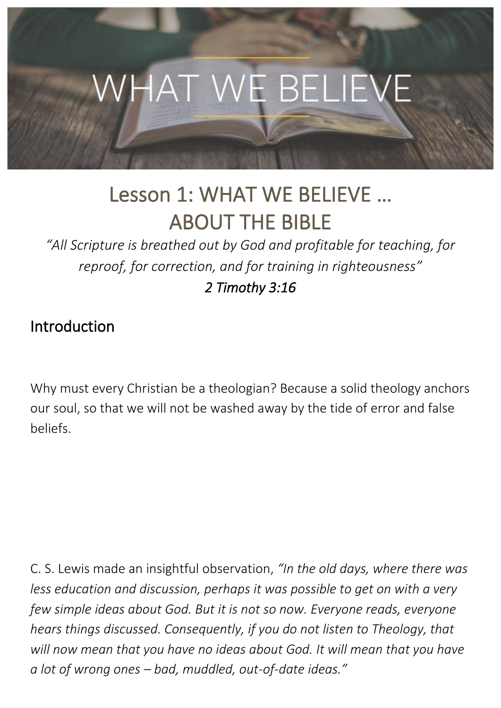

# Lesson 1: WHAT WE BELIEVE … ABOUT THE BIBLE

*"All Scripture is breathed out by God and profitable for teaching, for reproof, for correction, and for training in righteousness" 2 Timothy 3:16* 

### Introduction

Why must every Christian be a theologian? Because a solid theology anchors our soul, so that we will not be washed away by the tide of error and false beliefs.

C. S. Lewis made an insightful observation, *"In the old days, where there was less education and discussion, perhaps it was possible to get on with a very few simple ideas about God. But it is not so now. Everyone reads, everyone hears things discussed. Consequently, if you do not listen to Theology, that will now mean that you have no ideas about God. It will mean that you have a lot of wrong ones – bad, muddled, out-of-date ideas."*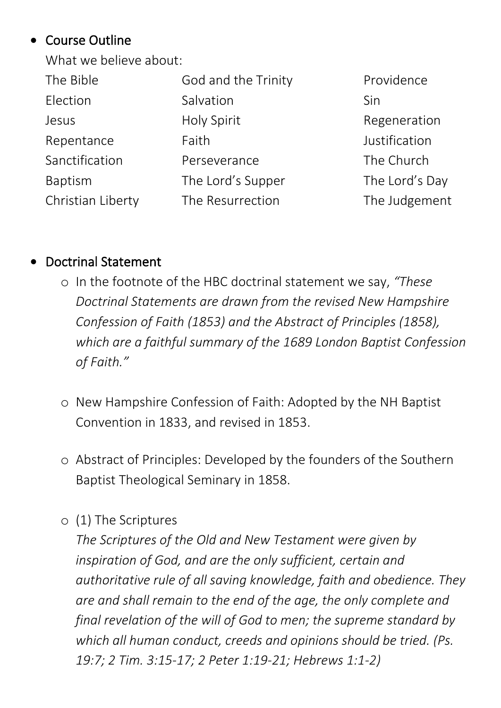### • Course Outline

What we believe about:

| The Bible         | God and the Trinity | Providence     |
|-------------------|---------------------|----------------|
| Election          | Salvation           | Sin            |
| Jesus             | Holy Spirit         | Regeneration   |
| Repentance        | Faith               | Justification  |
| Sanctification    | Perseverance        | The Church     |
| <b>Baptism</b>    | The Lord's Supper   | The Lord's Day |
| Christian Liberty | The Resurrection    | The Judgement  |
|                   |                     |                |

### • Doctrinal Statement

- o In the footnote of the HBC doctrinal statement we say, *"These Doctrinal Statements are drawn from the revised New Hampshire Confession of Faith (1853) and the Abstract of Principles (1858), which are a faithful summary of the 1689 London Baptist Confession of Faith."*
- o New Hampshire Confession of Faith: Adopted by the NH Baptist Convention in 1833, and revised in 1853.
- o Abstract of Principles: Developed by the founders of the Southern Baptist Theological Seminary in 1858.
- o (1) The Scriptures

*The Scriptures of the Old and New Testament were given by inspiration of God, and are the only sufficient, certain and authoritative rule of all saving knowledge, faith and obedience. They are and shall remain to the end of the age, the only complete and final revelation of the will of God to men; the supreme standard by which all human conduct, creeds and opinions should be tried. (Ps. 19:7; 2 Tim. 3:15-17; 2 Peter 1:19-21; Hebrews 1:1-2)*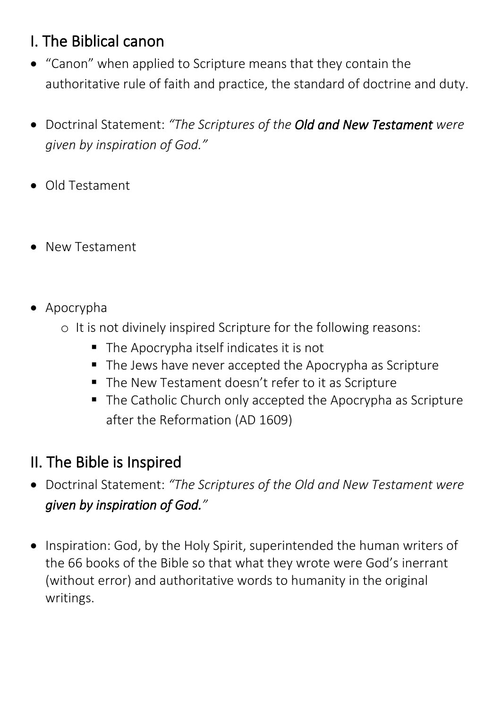# I. The Biblical canon

- "Canon" when applied to Scripture means that they contain the authoritative rule of faith and practice, the standard of doctrine and duty.
- Doctrinal Statement: *"The Scriptures of the Old and New Testament were given by inspiration of God."*
- Old Testament
- New Testament
- Apocrypha
	- o It is not divinely inspired Scripture for the following reasons:
		- The Apocrypha itself indicates it is not
		- The Jews have never accepted the Apocrypha as Scripture
		- The New Testament doesn't refer to it as Scripture
		- The Catholic Church only accepted the Apocrypha as Scripture after the Reformation (AD 1609)

# II. The Bible is Inspired

- Doctrinal Statement: *"The Scriptures of the Old and New Testament were given by inspiration of God."*
- Inspiration: God, by the Holy Spirit, superintended the human writers of the 66 books of the Bible so that what they wrote were God's inerrant (without error) and authoritative words to humanity in the original writings.